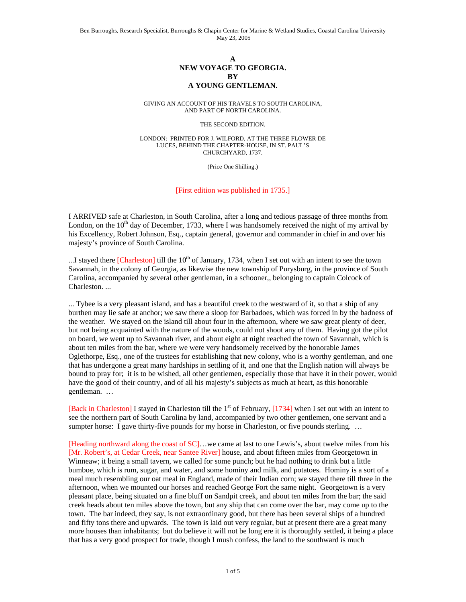## **A NEW VOYAGE TO GEORGIA. BY A YOUNG GENTLEMAN.**

GIVING AN ACCOUNT OF HIS TRAVELS TO SOUTH CAROLINA, AND PART OF NORTH CAROLINA.

THE SECOND EDITION.

LONDON: PRINTED FOR J. WILFORD, AT THE THREE FLOWER DE LUCES, BEHIND THE CHAPTER-HOUSE, IN ST. PAUL'S CHURCHYARD, 1737.

(Price One Shilling.)

[First edition was published in 1735.]

I ARRIVED safe at Charleston, in South Carolina, after a long and tedious passage of three months from London, on the  $10<sup>th</sup>$  day of December, 1733, where I was handsomely received the night of my arrival by his Excellency, Robert Johnson, Esq., captain general, governor and commander in chief in and over his majesty's province of South Carolina.

...I stayed there  $[Charleston]$  till the  $10<sup>th</sup>$  of January, 1734, when I set out with an intent to see the town Savannah, in the colony of Georgia, as likewise the new township of Purysburg, in the province of South Carolina, accompanied by several other gentleman, in a schooner,, belonging to captain Colcock of Charleston. ...

... Tybee is a very pleasant island, and has a beautiful creek to the westward of it, so that a ship of any burthen may lie safe at anchor; we saw there a sloop for Barbadoes, which was forced in by the badness of the weather. We stayed on the island till about four in the afternoon, where we saw great plenty of deer, but not being acquainted with the nature of the woods, could not shoot any of them. Having got the pilot on board, we went up to Savannah river, and about eight at night reached the town of Savannah, which is about ten miles from the bar, where we were very handsomely received by the honorable James Oglethorpe, Esq., one of the trustees for establishing that new colony, who is a worthy gentleman, and one that has undergone a great many hardships in settling of it, and one that the English nation will always be bound to pray for; it is to be wished, all other gentlemen, especially those that have it in their power, would have the good of their country, and of all his majesty's subjects as much at heart, as this honorable gentleman. …

[Back in Charleston] I stayed in Charleston till the  $1<sup>st</sup>$  of February, [1734] when I set out with an intent to see the northern part of South Carolina by land, accompanied by two other gentlemen, one servant and a sumpter horse: I gave thirty-five pounds for my horse in Charleston, or five pounds sterling. ...

[Heading northward along the coast of SC]…we came at last to one Lewis's, about twelve miles from his [Mr. Robert's, at Cedar Creek, near Santee River] house, and about fifteen miles from Georgetown in Winneaw; it being a small tavern, we called for some punch; but he had nothing to drink but a little bumboe, which is rum, sugar, and water, and some hominy and milk, and potatoes. Hominy is a sort of a meal much resembling our oat meal in England, made of their Indian corn; we stayed there till three in the afternoon, when we mounted our horses and reached George Fort the same night. Georgetown is a very pleasant place, being situated on a fine bluff on Sandpit creek, and about ten miles from the bar; the said creek heads about ten miles above the town, but any ship that can come over the bar, may come up to the town. The bar indeed, they say, is not extraordinary good, but there has been several ships of a hundred and fifty tons there and upwards. The town is laid out very regular, but at present there are a great many more houses than inhabitants; but do believe it will not be long ere it is thoroughly settled, it being a place that has a very good prospect for trade, though I mush confess, the land to the southward is much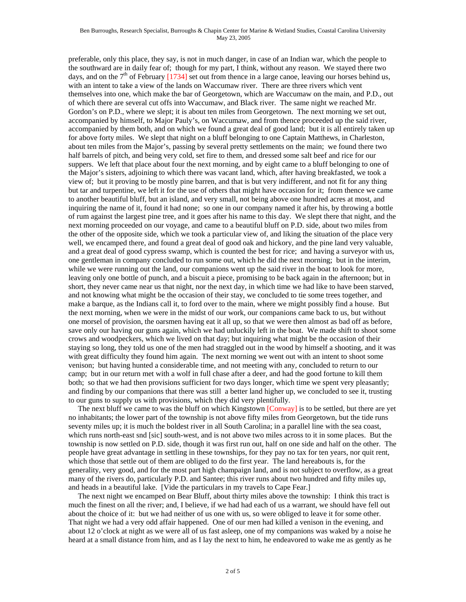preferable, only this place, they say, is not in much danger, in case of an Indian war, which the people to the southward are in daily fear of; though for my part, I think, without any reason. We stayed there two days, and on the  $7<sup>th</sup>$  of February [1734] set out from thence in a large canoe, leaving our horses behind us, with an intent to take a view of the lands on Waccumaw river. There are three rivers which vent themselves into one, which make the bar of Georgetown, which are Waccumaw on the main, and P.D., out of which there are several cut offs into Waccumaw, and Black river. The same night we reached Mr. Gordon's on P.D., where we slept; it is about ten miles from Georgetown. The next morning we set out, accompanied by himself, to Major Pauly's, on Waccumaw, and from thence proceeded up the said river, accompanied by them both, and on which we found a great deal of good land; but it is all entirely taken up for above forty miles. We slept that night on a bluff belonging to one Captain Matthews, in Charleston, about ten miles from the Major's, passing by several pretty settlements on the main; we found there two half barrels of pitch, and being very cold, set fire to them, and dressed some salt beef and rice for our suppers. We left that place about four the next morning, and by eight came to a bluff belonging to one of the Major's sisters, adjoining to which there was vacant land, which, after having breakfasted, we took a view of; but it proving to be mostly pine barren, and that is but very indifferent, and not fit for any thing but tar and turpentine, we left it for the use of others that might have occasion for it; from thence we came to another beautiful bluff, but an island, and very small, not being above one hundred acres at most, and inquiring the name of it, found it had none; so one in our company named it after his, by throwing a bottle of rum against the largest pine tree, and it goes after his name to this day. We slept there that night, and the next morning proceeded on our voyage, and came to a beautiful bluff on P.D. side, about two miles from the other of the opposite side, which we took a particular view of, and liking the situation of the place very well, we encamped there, and found a great deal of good oak and hickory, and the pine land very valuable, and a great deal of good cypress swamp, which is counted the best for rice; and having a surveyor with us, one gentleman in company concluded to run some out, which he did the next morning; but in the interim, while we were running out the land, our companions went up the said river in the boat to look for more, leaving only one bottle of punch, and a biscuit a piece, promising to be back again in the afternoon; but in short, they never came near us that night, nor the next day, in which time we had like to have been starved, and not knowing what might be the occasion of their stay, we concluded to tie some trees together, and make a barque, as the Indians call it, to ford over to the main, where we might possibly find a house. But the next morning, when we were in the midst of our work, our companions came back to us, but without one morsel of provision, the oarsmen having eat it all up, so that we were then almost as bad off as before, save only our having our guns again, which we had unluckily left in the boat. We made shift to shoot some crows and woodpeckers, which we lived on that day; but inquiring what might be the occasion of their staying so long, they told us one of the men had straggled out in the wood by himself a shooting, and it was with great difficulty they found him again. The next morning we went out with an intent to shoot some venison; but having hunted a considerable time, and not meeting with any, concluded to return to our camp; but in our return met with a wolf in full chase after a deer, and had the good fortune to kill them both; so that we had then provisions sufficient for two days longer, which time we spent very pleasantly; and finding by our companions that there was still a better land higher up, we concluded to see it, trusting to our guns to supply us with provisions, which they did very plentifully.

 The next bluff we came to was the bluff on which Kingstown [Conway] is to be settled, but there are yet no inhabitants; the lower part of the township is not above fifty miles from Georgetown, but the tide runs seventy miles up; it is much the boldest river in all South Carolina; in a parallel line with the sea coast, which runs north-east snd [sic] south-west, and is not above two miles across to it in some places. But the township is now settled on P.D. side, though it was first run out, half on one side and half on the other. The people have great advantage in settling in these townships, for they pay no tax for ten years, nor quit rent, which those that settle out of them are obliged to do the first year. The land hereabouts is, for the generality, very good, and for the most part high champaign land, and is not subject to overflow, as a great many of the rivers do, particularly P.D. and Santee; this river runs about two hundred and fifty miles up, and heads in a beautiful lake. [Vide the particulars in my travels to Cape Fear.]

 The next night we encamped on Bear Bluff, about thirty miles above the township: I think this tract is much the finest on all the river; and, I believe, if we had had each of us a warrant, we should have fell out about the choice of it: but we had neither of us one with us, so were obliged to leave it for some other. That night we had a very odd affair happened. One of our men had killed a venison in the evening, and about 12 o'clock at night as we were all of us fast asleep, one of my companions was waked by a noise he heard at a small distance from him, and as I lay the next to him, he endeavored to wake me as gently as he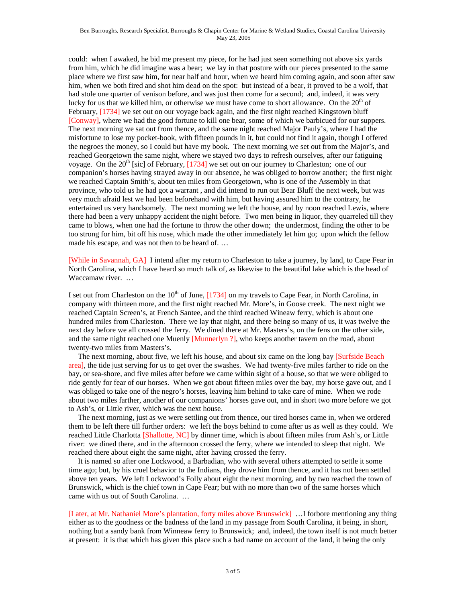could: when I awaked, he bid me present my piece, for he had just seen something not above six yards from him, which he did imagine was a bear; we lay in that posture with our pieces presented to the same place where we first saw him, for near half and hour, when we heard him coming again, and soon after saw him, when we both fired and shot him dead on the spot: but instead of a bear, it proved to be a wolf, that had stole one quarter of venison before, and was just then come for a second; and, indeed, it was very lucky for us that we killed him, or otherwise we must have come to short allowance. On the  $20<sup>th</sup>$  of February, [1734] we set out on our voyage back again, and the first night reached Kingstown bluff [Conway], where we had the good fortune to kill one bear, some of which we barbicued for our suppers. The next morning we sat out from thence, and the same night reached Major Pauly's, where I had the misfortune to lose my pocket-book, with fifteen pounds in it, but could not find it again, though I offered the negroes the money, so I could but have my book. The next morning we set out from the Major's, and reached Georgetown the same night, where we stayed two days to refresh ourselves, after our fatiguing voyage. On the  $20<sup>th</sup>$  [sic] of February, [1734] we set out on our journey to Charleston; one of our companion's horses having strayed away in our absence, he was obliged to borrow another; the first night we reached Captain Smith's, about ten miles from Georgetown, who is one of the Assembly in that province, who told us he had got a warrant , and did intend to run out Bear Bluff the next week, but was very much afraid lest we had been beforehand with him, but having assured him to the contrary, he entertained us very handsomely. The next morning we left the house, and by noon reached Lewis, where there had been a very unhappy accident the night before. Two men being in liquor, they quarreled till they came to blows, when one had the fortune to throw the other down; the undermost, finding the other to be too strong for him, bit off his nose, which made the other immediately let him go; upon which the fellow made his escape, and was not then to be heard of. …

[While in Savannah, GA] I intend after my return to Charleston to take a journey, by land, to Cape Fear in North Carolina, which I have heard so much talk of, as likewise to the beautiful lake which is the head of Waccamaw river. …

I set out from Charleston on the  $10^{th}$  of June, [1734] on my travels to Cape Fear, in North Carolina, in company with thirteen more, and the first night reached Mr. More's, in Goose creek. The next night we reached Captain Screen's, at French Santee, and the third reached Wineaw ferry, which is about one hundred miles from Charleston. There we lay that night, and there being so many of us, it was twelve the next day before we all crossed the ferry. We dined there at Mr. Masters's, on the fens on the other side, and the same night reached one Muenly [Munnerlyn ?], who keeps another tavern on the road, about twenty-two miles from Masters's.

 The next morning, about five, we left his house, and about six came on the long bay [Surfside Beach area], the tide just serving for us to get over the swashes. We had twenty-five miles farther to ride on the bay, or sea-shore, and five miles after before we came within sight of a house, so that we were obliged to ride gently for fear of our horses. When we got about fifteen miles over the bay, my horse gave out, and I was obliged to take one of the negro's horses, leaving him behind to take care of mine. When we rode about two miles farther, another of our companions' horses gave out, and in short two more before we got to Ash's, or Little river, which was the next house.

 The next morning, just as we were settling out from thence, our tired horses came in, when we ordered them to be left there till further orders: we left the boys behind to come after us as well as they could. We reached Little Charlotta [Shallotte, NC] by dinner time, which is about fifteen miles from Ash's, or Little river: we dined there, and in the afternoon crossed the ferry, where we intended to sleep that night. We reached there about eight the same night, after having crossed the ferry.

 It is named so after one Lockwood, a Barbadian, who with several others attempted to settle it some time ago; but, by his cruel behavior to the Indians, they drove him from thence, and it has not been settled above ten years. We left Lockwood's Folly about eight the next morning, and by two reached the town of Brunswick, which is the chief town in Cape Fear; but with no more than two of the same horses which came with us out of South Carolina. …

[Later, at Mr. Nathaniel More's plantation, forty miles above Brunswick] …I forbore mentioning any thing either as to the goodness or the badness of the land in my passage from South Carolina, it being, in short, nothing but a sandy bank from Winneaw ferry to Brunswick; and, indeed, the town itself is not much better at present: it is that which has given this place such a bad name on account of the land, it being the only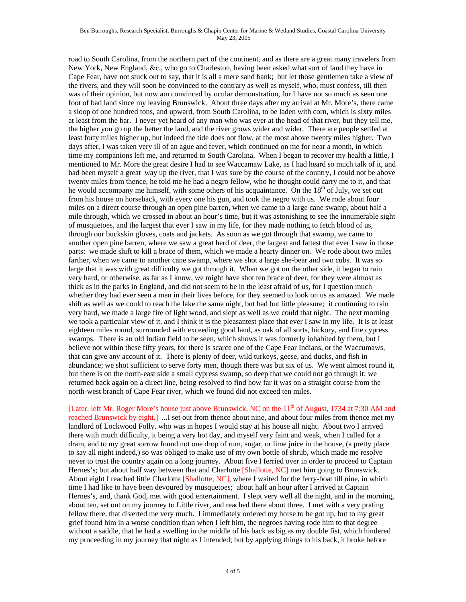## Ben Burroughs, Research Specialist, Burroughs & Chapin Center for Marine & Wetland Studies, Coastal Carolina University May 23, 2005

road to South Carolina, from the northern part of the continent, and as there are a great many travelers from New York, New England, &c., who go to Charleston, having been asked what sort of land they have in Cape Fear, have not stuck out to say, that it is all a mere sand bank; but let those gentlemen take a view of the rivers, and they will soon be convinced to the contrary as well as myself, who, must confess, till then was of their opinion, but now am convinced by ocular demonstration, for I have not so much as seen one foot of bad land since my leaving Brunswick. About three days after my arrival at Mr. More's, there came a sloop of one hundred tons, and upward, from South Carolina, to be laden with corn, which is sixty miles at least from the bar. I never yet heard of any man who was ever at the head of that river, but they tell me, the higher you go up the better the land, and the river grows wider and wider. There are people settled at least forty miles higher up, but indeed the tide does not flow, at the most above twenty miles higher. Two days after, I was taken very ill of an ague and fever, which continued on me for near a month, in which time my companions left me, and returned to South Carolina. When I began to recover my health a little, I mentioned to Mr. More the great desire I had to see Waccamaw Lake, as I had heard so much talk of it, and had been myself a great way up the river, that I was sure by the course of the country, I could not be above twenty miles from thence, he told me he had a negro fellow, who he thought could carry me to it, and that he would accompany me himself, with some others of his acquaintance. On the  $18<sup>th</sup>$  of July, we set out from his house on horseback, with every one his gun, and took the negro with us. We rode about four miles on a direct course through an open pine barren, when we came to a large cane swamp, about half a mile through, which we crossed in about an hour's time, but it was astonishing to see the innumerable sight of musquetoes, and the largest that ever I saw in my life, for they made nothing to fetch blood of us, through our buckskin gloves, coats and jackets. As soon as we got through that swamp, we came to another open pine barren, where we saw a great herd of deer, the largest and fattest that ever I saw in those parts: we made shift to kill a brace of them, which we made a hearty dinner on. We rode about two miles farther, when we came to another cane swamp, where we shot a large she-bear and two cubs. It was so large that it was with great difficulty we got through it. When we got on the other side, it began to rain very hard, or otherwise, as far as I know, we might have shot ten brace of deer, for they were almost as thick as in the parks in England, and did not seem to be in the least afraid of us, for I question much whether they had ever seen a man in their lives before, for they seemed to look on us as amazed. We made shift as well as we could to reach the lake the same night, but had but little pleasure; it continuing to rain very hard, we made a large fire of light wood, and slept as well as we could that night. The next morning we took a particular view of it, and I think it is the pleasantest place that ever I saw in my life. It is at least eighteen miles round, surrounded with exceeding good land, as oak of all sorts, hickory, and fine cypress swamps. There is an old Indian field to be seen, which shows it was formerly inhabited by them, but I believe not within these fifty years, for there is scarce one of the Cape Fear Indians, or the Waccumaws, that can give any account of it. There is plenty of deer, wild turkeys, geese, and ducks, and fish in abundance; we shot sufficient to serve forty men, though there was but six of us. We went almost round it, but there is on the north-east side a small cypress swamp, so deep that we could not go through it; we returned back again on a direct line, being resolved to find how far it was on a straight course from the north-west branch of Cape Fear river, which we found did not exceed ten miles.

[Later, left Mr. Roger More's house just above Brunswick, NC on the 11<sup>th</sup> of August, 1734 at 7:30 AM and reached Brunswick by eight.] ...I set out from thence about nine, and about four miles from thence met my landlord of Lockwood Folly, who was in hopes I would stay at his house all night. About two I arrived there with much difficulty, it being a very hot day, and myself very faint and weak, when I called for a dram, and to my great sorrow found not one drop of rum, sugar, or lime juice in the house, (a pretty place to say all night indeed,) so was obliged to make use of my own bottle of shrub, which made me resolve never to trust the country again on a long journey. About five I ferried over in order to proceed to Captain Hernes's; but about half way between that and Charlotte [Shallotte, NC] met him going to Brunswick. About eight I reached little Charlotte [Shallotte, NC], where I waited for the ferry-boat till nine, in which time I had like to have been devoured by musquetoes; about half an hour after I arrived at Captain Hernes's, and, thank God, met with good entertainment. I slept very well all the night, and in the morning, about ten, set out on my journey to Little river, and reached there about three. I met with a very prating fellow there, that diverted me very much. I immediately ordered my horse to be got up, but to my great grief found him in a worse condition than when I left him, the negroes having rode him to that degree without a saddle, that he had a swelling in the middle of his back as big as my double fist, which hindered my proceeding in my journey that night as I intended; but by applying things to his back, it broke before